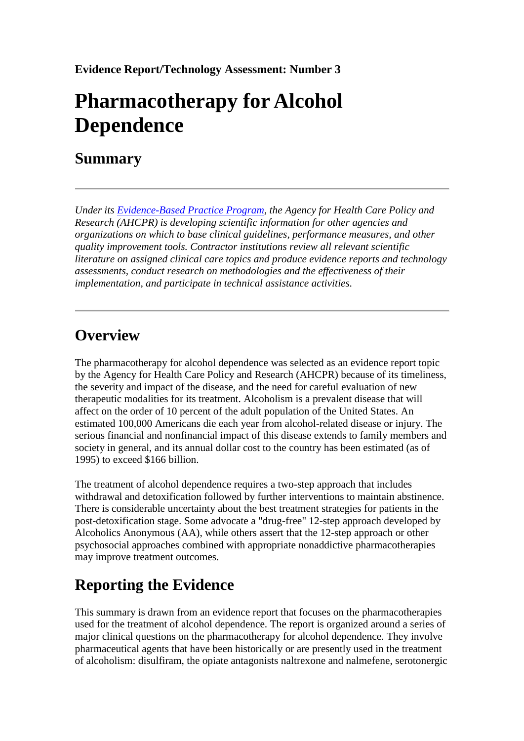**Evidence Report/Technology Assessment: Number 3**

# **Pharmacotherapy for Alcohol Dependence**

### **Summary**

*Under its [Evidence-Based Practice Program,](/clinic/epc/) the Agency for Health Care Policy and Research (AHCPR) is developing scientific information for other agencies and organizations on which to base clinical guidelines, performance measures, and other quality improvement tools. Contractor institutions review all relevant scientific literature on assigned clinical care topics and produce evidence reports and technology assessments, conduct research on methodologies and the effectiveness of their implementation, and participate in technical assistance activities.*

### **Overview**

The pharmacotherapy for alcohol dependence was selected as an evidence report topic by the Agency for Health Care Policy and Research (AHCPR) because of its timeliness, the severity and impact of the disease, and the need for careful evaluation of new therapeutic modalities for its treatment. Alcoholism is a prevalent disease that will affect on the order of 10 percent of the adult population of the United States. An estimated 100,000 Americans die each year from alcohol-related disease or injury. The serious financial and nonfinancial impact of this disease extends to family members and society in general, and its annual dollar cost to the country has been estimated (as of 1995) to exceed \$166 billion.

The treatment of alcohol dependence requires a two-step approach that includes withdrawal and detoxification followed by further interventions to maintain abstinence. There is considerable uncertainty about the best treatment strategies for patients in the post-detoxification stage. Some advocate a "drug-free" 12-step approach developed by Alcoholics Anonymous (AA), while others assert that the 12-step approach or other psychosocial approaches combined with appropriate nonaddictive pharmacotherapies may improve treatment outcomes.

# **Reporting the Evidence**

This summary is drawn from an evidence report that focuses on the pharmacotherapies used for the treatment of alcohol dependence. The report is organized around a series of major clinical questions on the pharmacotherapy for alcohol dependence. They involve pharmaceutical agents that have been historically or are presently used in the treatment of alcoholism: disulfiram, the opiate antagonists naltrexone and nalmefene, serotonergic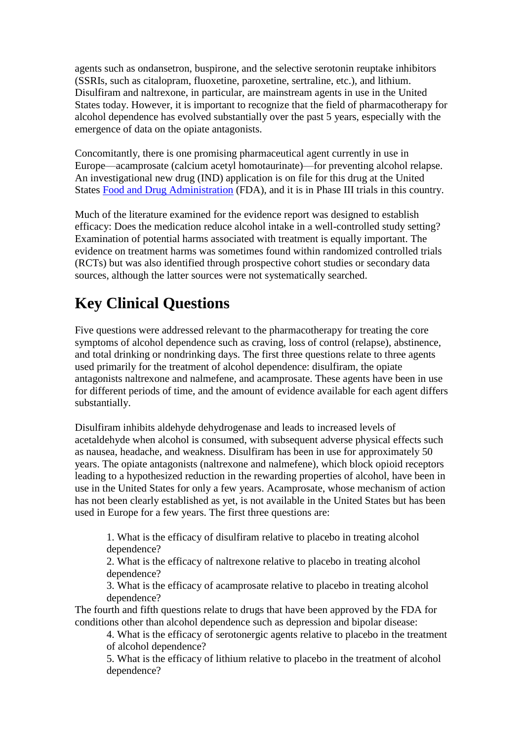agents such as ondansetron, buspirone, and the selective serotonin reuptake inhibitors (SSRIs, such as citalopram, fluoxetine, paroxetine, sertraline, etc.), and lithium. Disulfiram and naltrexone, in particular, are mainstream agents in use in the United States today. However, it is important to recognize that the field of pharmacotherapy for alcohol dependence has evolved substantially over the past 5 years, especially with the emergence of data on the opiate antagonists.

Concomitantly, there is one promising pharmaceutical agent currently in use in Europe—acamprosate (calcium acetyl homotaurinate)—for preventing alcohol relapse. An investigational new drug (IND) application is on file for this drug at the United States [Food and Drug Administration](http://www.fda.gov/) (FDA), and it is in Phase III trials in this country.

Much of the literature examined for the evidence report was designed to establish efficacy: Does the medication reduce alcohol intake in a well-controlled study setting? Examination of potential harms associated with treatment is equally important. The evidence on treatment harms was sometimes found within randomized controlled trials (RCTs) but was also identified through prospective cohort studies or secondary data sources, although the latter sources were not systematically searched.

# **Key Clinical Questions**

Five questions were addressed relevant to the pharmacotherapy for treating the core symptoms of alcohol dependence such as craving, loss of control (relapse), abstinence, and total drinking or nondrinking days. The first three questions relate to three agents used primarily for the treatment of alcohol dependence: disulfiram, the opiate antagonists naltrexone and nalmefene, and acamprosate. These agents have been in use for different periods of time, and the amount of evidence available for each agent differs substantially.

Disulfiram inhibits aldehyde dehydrogenase and leads to increased levels of acetaldehyde when alcohol is consumed, with subsequent adverse physical effects such as nausea, headache, and weakness. Disulfiram has been in use for approximately 50 years. The opiate antagonists (naltrexone and nalmefene), which block opioid receptors leading to a hypothesized reduction in the rewarding properties of alcohol, have been in use in the United States for only a few years. Acamprosate, whose mechanism of action has not been clearly established as yet, is not available in the United States but has been used in Europe for a few years. The first three questions are:

1. What is the efficacy of disulfiram relative to placebo in treating alcohol dependence?

2. What is the efficacy of naltrexone relative to placebo in treating alcohol dependence?

3. What is the efficacy of acamprosate relative to placebo in treating alcohol dependence?

The fourth and fifth questions relate to drugs that have been approved by the FDA for conditions other than alcohol dependence such as depression and bipolar disease:

4. What is the efficacy of serotonergic agents relative to placebo in the treatment of alcohol dependence?

5. What is the efficacy of lithium relative to placebo in the treatment of alcohol dependence?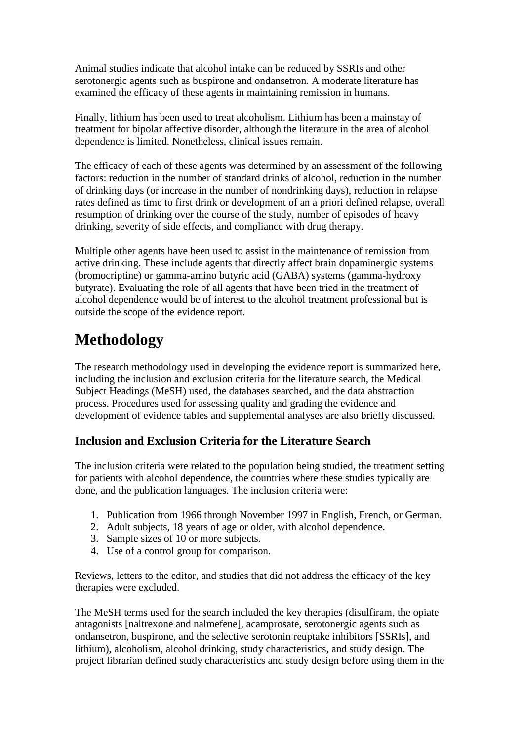Animal studies indicate that alcohol intake can be reduced by SSRIs and other serotonergic agents such as buspirone and ondansetron. A moderate literature has examined the efficacy of these agents in maintaining remission in humans.

Finally, lithium has been used to treat alcoholism. Lithium has been a mainstay of treatment for bipolar affective disorder, although the literature in the area of alcohol dependence is limited. Nonetheless, clinical issues remain.

The efficacy of each of these agents was determined by an assessment of the following factors: reduction in the number of standard drinks of alcohol, reduction in the number of drinking days (or increase in the number of nondrinking days), reduction in relapse rates defined as time to first drink or development of an a priori defined relapse, overall resumption of drinking over the course of the study, number of episodes of heavy drinking, severity of side effects, and compliance with drug therapy.

Multiple other agents have been used to assist in the maintenance of remission from active drinking. These include agents that directly affect brain dopaminergic systems (bromocriptine) or gamma-amino butyric acid (GABA) systems (gamma-hydroxy butyrate). Evaluating the role of all agents that have been tried in the treatment of alcohol dependence would be of interest to the alcohol treatment professional but is outside the scope of the evidence report.

# **Methodology**

The research methodology used in developing the evidence report is summarized here, including the inclusion and exclusion criteria for the literature search, the Medical Subject Headings (MeSH) used, the databases searched, and the data abstraction process. Procedures used for assessing quality and grading the evidence and development of evidence tables and supplemental analyses are also briefly discussed.

### **Inclusion and Exclusion Criteria for the Literature Search**

The inclusion criteria were related to the population being studied, the treatment setting for patients with alcohol dependence, the countries where these studies typically are done, and the publication languages. The inclusion criteria were:

- 1. Publication from 1966 through November 1997 in English, French, or German.
- 2. Adult subjects, 18 years of age or older, with alcohol dependence.
- 3. Sample sizes of 10 or more subjects.
- 4. Use of a control group for comparison.

Reviews, letters to the editor, and studies that did not address the efficacy of the key therapies were excluded.

The MeSH terms used for the search included the key therapies (disulfiram, the opiate antagonists [naltrexone and nalmefene], acamprosate, serotonergic agents such as ondansetron, buspirone, and the selective serotonin reuptake inhibitors [SSRIs], and lithium), alcoholism, alcohol drinking, study characteristics, and study design. The project librarian defined study characteristics and study design before using them in the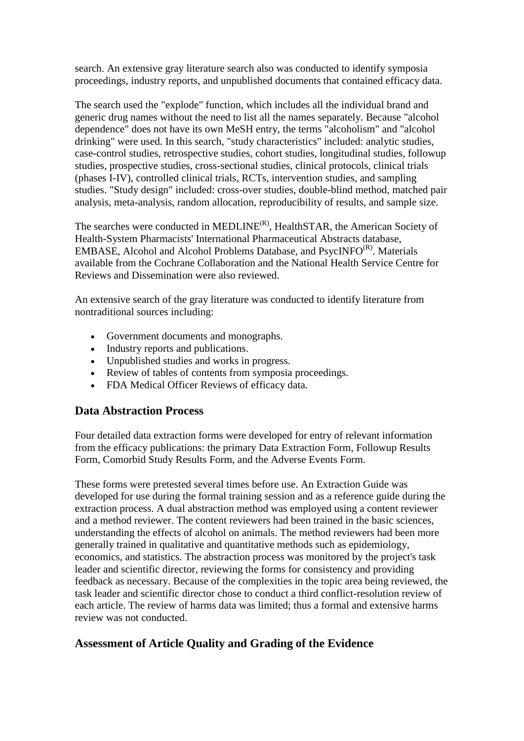search. An extensive gray literature search also was conducted to identify symposia proceedings, industry reports, and unpublished documents that contained efficacy data.

The search used the "explode" function, which includes all the individual brand and generic drug names without the need to list all the names separately. Because "alcohol dependence" does not have its own MeSH entry, the terms "alcoholism" and "alcohol drinking" were used. In this search, "study characteristics" included: analytic studies, case-control studies, retrospective studies, cohort studies, longitudinal studies, followup studies, prospective studies, cross-sectional studies, clinical protocols, clinical trials (phases I-IV), controlled clinical trials, RCTs, intervention studies, and sampling studies. "Study design" included: cross-over studies, double-blind method, matched pair analysis, meta-analysis, random allocation, reproducibility of results, and sample size.

The searches were conducted in MEDLINE<sup>(R)</sup>, HealthSTAR, the American Society of Health-System Pharmacists' International Pharmaceutical Abstracts database, EMBASE, Alcohol and Alcohol Problems Database, and  $PsycINFO<sup>(R)</sup>$ . Materials available from the Cochrane Collaboration and the National Health Service Centre for Reviews and Dissemination were also reviewed.

An extensive search of the gray literature was conducted to identify literature from nontraditional sources including:

- Government documents and monographs.
- Industry reports and publications.
- Unpublished studies and works in progress.
- Review of tables of contents from symposia proceedings.
- FDA Medical Officer Reviews of efficacy data.

#### **Data Abstraction Process**

Four detailed data extraction forms were developed for entry of relevant information from the efficacy publications: the primary Data Extraction Form, Followup Results Form, Comorbid Study Results Form, and the Adverse Events Form.

These forms were pretested several times before use. An Extraction Guide was developed for use during the formal training session and as a reference guide during the extraction process. A dual abstraction method was employed using a content reviewer and a method reviewer. The content reviewers had been trained in the basic sciences, understanding the effects of alcohol on animals. The method reviewers had been more generally trained in qualitative and quantitative methods such as epidemiology, economics, and statistics. The abstraction process was monitored by the project's task leader and scientific director, reviewing the forms for consistency and providing feedback as necessary. Because of the complexities in the topic area being reviewed, the task leader and scientific director chose to conduct a third conflict-resolution review of each article. The review of harms data was limited; thus a formal and extensive harms review was not conducted.

### **Assessment of Article Quality and Grading of the Evidence**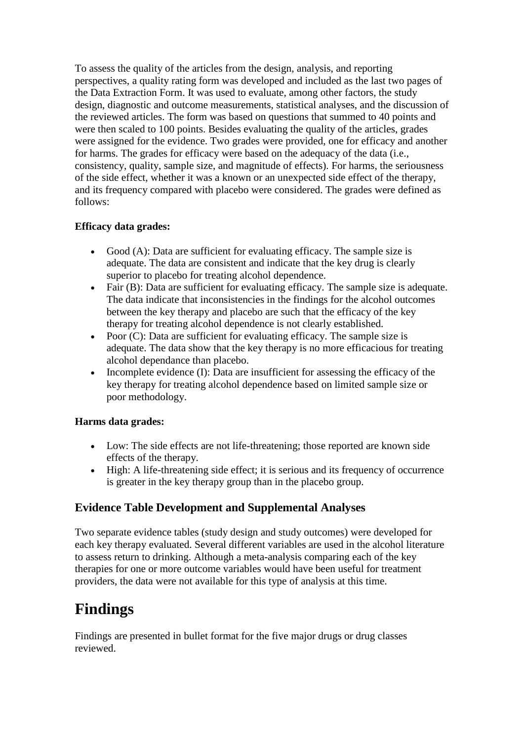To assess the quality of the articles from the design, analysis, and reporting perspectives, a quality rating form was developed and included as the last two pages of the Data Extraction Form. It was used to evaluate, among other factors, the study design, diagnostic and outcome measurements, statistical analyses, and the discussion of the reviewed articles. The form was based on questions that summed to 40 points and were then scaled to 100 points. Besides evaluating the quality of the articles, grades were assigned for the evidence. Two grades were provided, one for efficacy and another for harms. The grades for efficacy were based on the adequacy of the data (i.e., consistency, quality, sample size, and magnitude of effects). For harms, the seriousness of the side effect, whether it was a known or an unexpected side effect of the therapy, and its frequency compared with placebo were considered. The grades were defined as follows:

#### **Efficacy data grades:**

- Good  $(A)$ : Data are sufficient for evaluating efficacy. The sample size is adequate. The data are consistent and indicate that the key drug is clearly superior to placebo for treating alcohol dependence.
- Fair (B): Data are sufficient for evaluating efficacy. The sample size is adequate. The data indicate that inconsistencies in the findings for the alcohol outcomes between the key therapy and placebo are such that the efficacy of the key therapy for treating alcohol dependence is not clearly established.
- Poor  $(C)$ : Data are sufficient for evaluating efficacy. The sample size is adequate. The data show that the key therapy is no more efficacious for treating alcohol dependance than placebo.
- Incomplete evidence (I): Data are insufficient for assessing the efficacy of the key therapy for treating alcohol dependence based on limited sample size or poor methodology.

#### **Harms data grades:**

- Low: The side effects are not life-threatening; those reported are known side effects of the therapy.
- High: A life-threatening side effect; it is serious and its frequency of occurrence is greater in the key therapy group than in the placebo group.

#### **Evidence Table Development and Supplemental Analyses**

Two separate evidence tables (study design and study outcomes) were developed for each key therapy evaluated. Several different variables are used in the alcohol literature to assess return to drinking. Although a meta-analysis comparing each of the key therapies for one or more outcome variables would have been useful for treatment providers, the data were not available for this type of analysis at this time.

### **Findings**

Findings are presented in bullet format for the five major drugs or drug classes reviewed.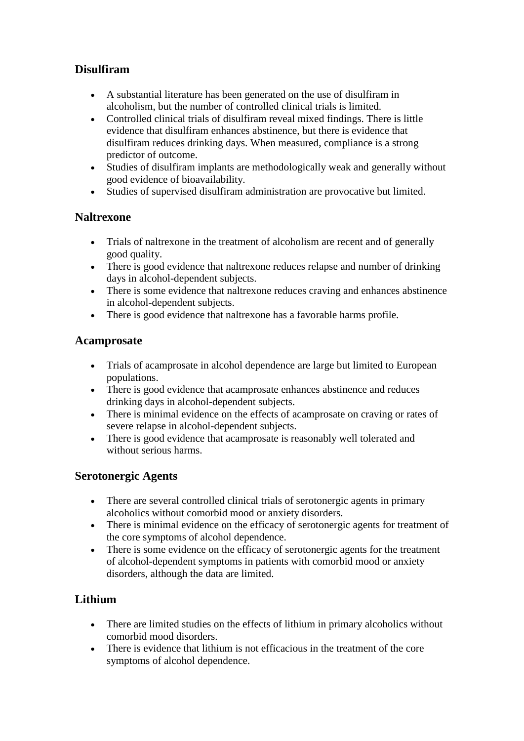### **Disulfiram**

- A substantial literature has been generated on the use of disulfiram in alcoholism, but the number of controlled clinical trials is limited.
- Controlled clinical trials of disulfiram reveal mixed findings. There is little evidence that disulfiram enhances abstinence, but there is evidence that disulfiram reduces drinking days. When measured, compliance is a strong predictor of outcome.
- Studies of disulfiram implants are methodologically weak and generally without good evidence of bioavailability.
- Studies of supervised disulfiram administration are provocative but limited.

#### **Naltrexone**

- Trials of naltrexone in the treatment of alcoholism are recent and of generally good quality.
- There is good evidence that naltrexone reduces relapse and number of drinking days in alcohol-dependent subjects.
- There is some evidence that naltrexone reduces craving and enhances abstinence in alcohol-dependent subjects.
- There is good evidence that naltrexone has a favorable harms profile.

#### **Acamprosate**

- Trials of acamprosate in alcohol dependence are large but limited to European populations.
- There is good evidence that acamprosate enhances abstinence and reduces drinking days in alcohol-dependent subjects.
- There is minimal evidence on the effects of acamprosate on craving or rates of severe relapse in alcohol-dependent subjects.
- There is good evidence that acamprosate is reasonably well tolerated and without serious harms.

#### **Serotonergic Agents**

- There are several controlled clinical trials of serotonergic agents in primary alcoholics without comorbid mood or anxiety disorders.
- There is minimal evidence on the efficacy of serotonergic agents for treatment of the core symptoms of alcohol dependence.
- There is some evidence on the efficacy of serotonergic agents for the treatment of alcohol-dependent symptoms in patients with comorbid mood or anxiety disorders, although the data are limited.

#### **Lithium**

- There are limited studies on the effects of lithium in primary alcoholics without comorbid mood disorders.
- There is evidence that lithium is not efficacious in the treatment of the core symptoms of alcohol dependence.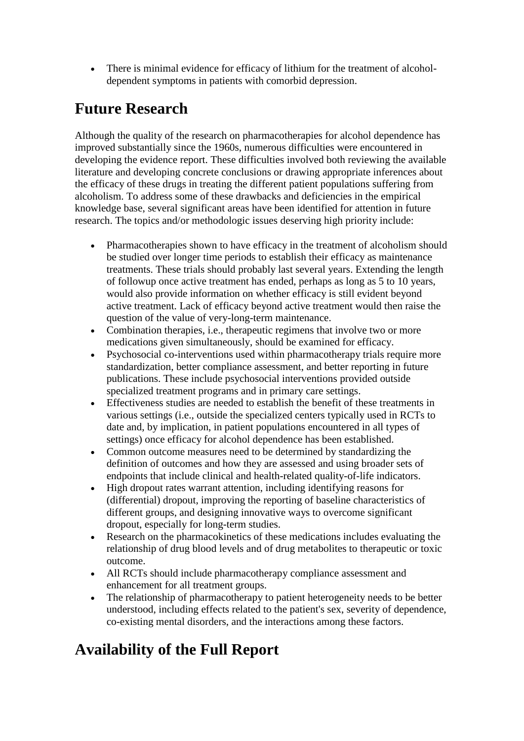There is minimal evidence for efficacy of lithium for the treatment of alcoholdependent symptoms in patients with comorbid depression.

### **Future Research**

Although the quality of the research on pharmacotherapies for alcohol dependence has improved substantially since the 1960s, numerous difficulties were encountered in developing the evidence report. These difficulties involved both reviewing the available literature and developing concrete conclusions or drawing appropriate inferences about the efficacy of these drugs in treating the different patient populations suffering from alcoholism. To address some of these drawbacks and deficiencies in the empirical knowledge base, several significant areas have been identified for attention in future research. The topics and/or methodologic issues deserving high priority include:

- Pharmacotherapies shown to have efficacy in the treatment of alcoholism should be studied over longer time periods to establish their efficacy as maintenance treatments. These trials should probably last several years. Extending the length of followup once active treatment has ended, perhaps as long as 5 to 10 years, would also provide information on whether efficacy is still evident beyond active treatment. Lack of efficacy beyond active treatment would then raise the question of the value of very-long-term maintenance.
- Combination therapies, i.e., therapeutic regimens that involve two or more medications given simultaneously, should be examined for efficacy.
- Psychosocial co-interventions used within pharmacotherapy trials require more standardization, better compliance assessment, and better reporting in future publications. These include psychosocial interventions provided outside specialized treatment programs and in primary care settings.
- Effectiveness studies are needed to establish the benefit of these treatments in various settings (i.e., outside the specialized centers typically used in RCTs to date and, by implication, in patient populations encountered in all types of settings) once efficacy for alcohol dependence has been established.
- Common outcome measures need to be determined by standardizing the definition of outcomes and how they are assessed and using broader sets of endpoints that include clinical and health-related quality-of-life indicators.
- High dropout rates warrant attention, including identifying reasons for (differential) dropout, improving the reporting of baseline characteristics of different groups, and designing innovative ways to overcome significant dropout, especially for long-term studies.
- Research on the pharmacokinetics of these medications includes evaluating the relationship of drug blood levels and of drug metabolites to therapeutic or toxic outcome.
- All RCTs should include pharmacotherapy compliance assessment and enhancement for all treatment groups.
- The relationship of pharmacotherapy to patient heterogeneity needs to be better understood, including effects related to the patient's sex, severity of dependence, co-existing mental disorders, and the interactions among these factors.

# **Availability of the Full Report**